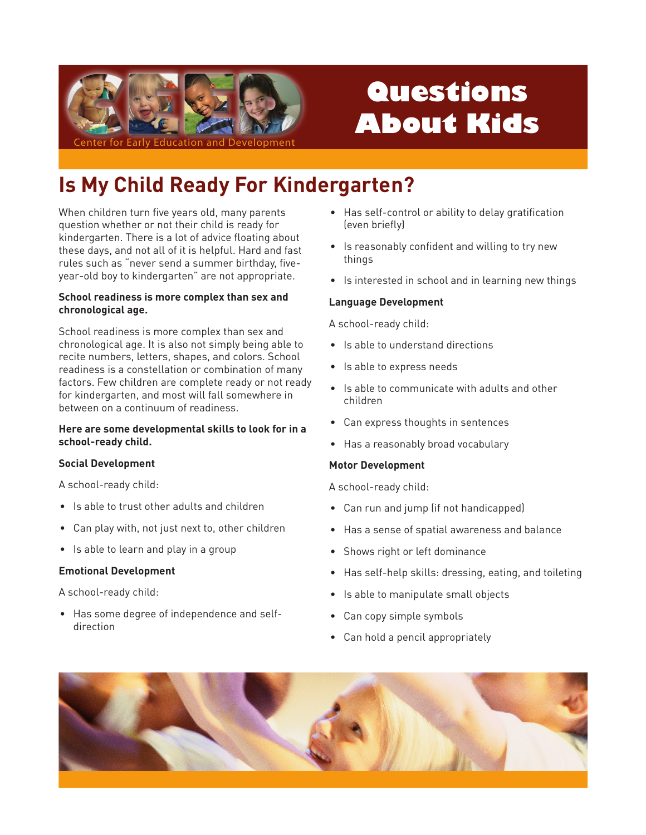

# Questions **About Kids**

## **Is My Child Ready For Kindergarten?**

When children turn five years old, many parents question whether or not their child is ready for kindergarten. There is a lot of advice floating about these days, and not all of it is helpful. Hard and fast rules such as "never send a summer birthday, fiveyear-old boy to kindergarten" are not appropriate.

#### School readiness is more complex than sex and chronological age.

School readiness is more complex than sex and chronological age. It is also not simply being able to recite numbers, letters, shapes, and colors. School readiness is a constellation or combination of many factors. Few children are complete ready or not ready for kindergarten, and most will fall somewhere in between on a continuum of readiness.

#### Here are some developmental skills to look for in a school-ready child.

#### **Social Development**

A school-ready child:

- Is able to trust other adults and children
- Can play with, not just next to, other children
- Is able to learn and play in a group

#### **Emotional Development**

A school-ready child:

• Has some degree of independence and selfdirection

- Has self-control or ability to delay gratification (even briefly)
- Is reasonably confident and willing to try new things
- Is interested in school and in learning new things

#### **Language Development**

A school-ready child:

- Is able to understand directions
- Is able to express needs
- Is able to communicate with adults and other children
- Can express thoughts in sentences
- Has a reasonably broad vocabulary

#### **Motor Development**

A school-ready child:

- Can run and jump (if not handicapped)
- Has a sense of spatial awareness and balance
- Shows right or left dominance
- Has self-help skills: dressing, eating, and toileting
- Is able to manipulate small objects
- Can copy simple symbols
- Can hold a pencil appropriately